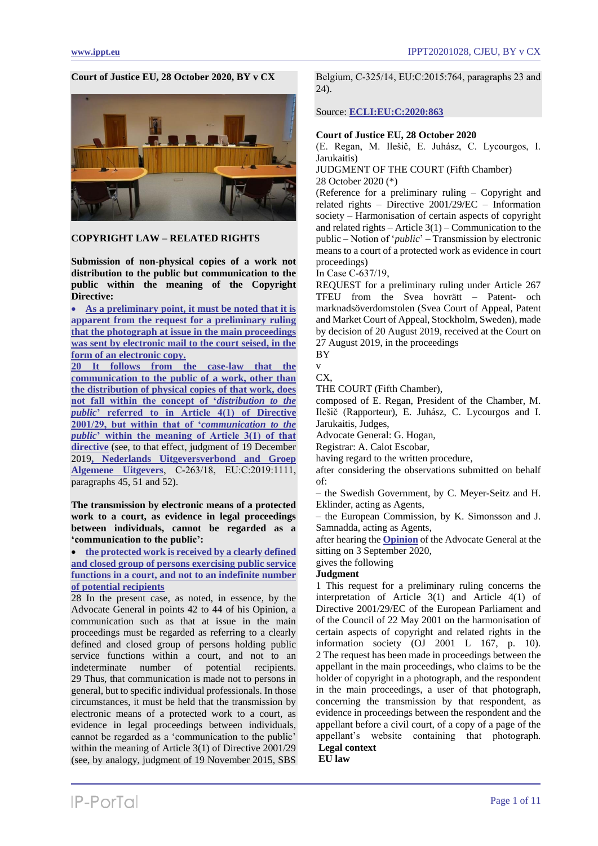### **Court of Justice EU, 28 October 2020, BY v CX**



### **COPYRIGHT LAW – RELATED RIGHTS**

**Submission of non-physical copies of a work not distribution to the public but communication to the public within the meaning of the Copyright Directive:**

 **[As a preliminary point, it must be noted that it is](#page-2-0)  [apparent from the request for a preliminary ruling](#page-2-0)  [that the photograph at issue in the main proceedings](#page-2-0)  [was sent by electronic mail to the court seised, in the](#page-2-0)  [form of an electronic copy.](#page-2-0)**

**20 [It follows from the case-law that the](#page-2-0)  [communication to the public of a work, other than](#page-2-0)  [the distribution of physical copies of that work, does](#page-2-0)  [not fall within the concept of '](#page-2-0)***distribution to the public***[' referred to in Article 4\(1\) of](#page-2-0) Directive [2001/29, but within that of '](#page-2-0)***communication to the public***[' within the meaning of Article 3\(1\) of that](#page-2-0)  [directive](#page-2-0)** (see, to that effect, judgment of 19 December 2019**[, Nederlands Uitgeversverbond and Groep](https://www.ippt.eu/sites/ippt/files/2019/IPPT20191219_CJEU_NUV_v_Tom_Kabinet.pdf)  [Algemene Uitgevers](https://www.ippt.eu/sites/ippt/files/2019/IPPT20191219_CJEU_NUV_v_Tom_Kabinet.pdf)**, C‑263/18, EU:C:2019:1111, paragraphs 45, 51 and 52).

**The transmission by electronic means of a protected work to a court, as evidence in legal proceedings between individuals, cannot be regarded as a 'communication to the public':**

 **[the protected work is received by a clearly defined](#page-3-0)  [and closed group of persons exercising public service](#page-3-0)  [functions in a court, and not to an indefinite number](#page-3-0)  [of potential recipients](#page-3-0)**

28 In the present case, as noted, in essence, by the Advocate General in points 42 to 44 of his Opinion, a communication such as that at issue in the main proceedings must be regarded as referring to a clearly defined and closed group of persons holding public service functions within a court, and not to an indeterminate number of potential recipients. 29 Thus, that communication is made not to persons in general, but to specific individual professionals. In those circumstances, it must be held that the transmission by electronic means of a protected work to a court, as evidence in legal proceedings between individuals, cannot be regarded as a 'communication to the public' within the meaning of Article 3(1) of Directive 2001/29 (see, by analogy, judgment of 19 November 2015, SBS Belgium, C‑325/14, EU:C:2015:764, paragraphs 23 and 24).

### Source: **[ECLI:EU:C:2020:863](http://curia.europa.eu/juris/liste.jsf?language=nl&td=ALL&num=C-637/19)**

#### **Court of Justice EU, 28 October 2020**

(E. Regan, M. Ilešič, E. Juhász, C. Lycourgos, I. Jarukaitis)

JUDGMENT OF THE COURT (Fifth Chamber) 28 October 2020 (\*)

(Reference for a preliminary ruling – Copyright and related rights – Directive 2001/29/EC – Information society – Harmonisation of certain aspects of copyright and related rights – Article  $3(1)$  – Communication to the public – Notion of '*public*' – Transmission by electronic means to a court of a protected work as evidence in court proceedings)

In Case C‑637/19,

REQUEST for a preliminary ruling under Article 267 TFEU from the Svea hovrätt – Patent- och marknadsöverdomstolen (Svea Court of Appeal, Patent and Market Court of Appeal, Stockholm, Sweden), made by decision of 20 August 2019, received at the Court on 27 August 2019, in the proceedings

BY v

CX,

THE COURT (Fifth Chamber),

composed of E. Regan, President of the Chamber, M. Ilešič (Rapporteur), E. Juhász, C. Lycourgos and I. Jarukaitis, Judges,

Advocate General: G. Hogan,

Registrar: A. Calot Escobar,

having regard to the written procedure,

after considering the observations submitted on behalf of:

– the Swedish Government, by C. Meyer-Seitz and H. Eklinder, acting as Agents,

– the European Commission, by K. Simonsson and J. Samnadda, acting as Agents,

after hearing the **[Opinion](#page-3-1)** of the Advocate General at the sitting on 3 September 2020,

gives the following

#### **Judgment**

1 This request for a preliminary ruling concerns the interpretation of Article 3(1) and Article 4(1) of Directive 2001/29/EC of the European Parliament and of the Council of 22 May 2001 on the harmonisation of certain aspects of copyright and related rights in the information society (OJ 2001 L 167, p. 10). 2 The request has been made in proceedings between the appellant in the main proceedings, who claims to be the holder of copyright in a photograph, and the respondent in the main proceedings, a user of that photograph, concerning the transmission by that respondent, as evidence in proceedings between the respondent and the appellant before a civil court, of a copy of a page of the appellant's website containing that photograph. **Legal context**

**EU law**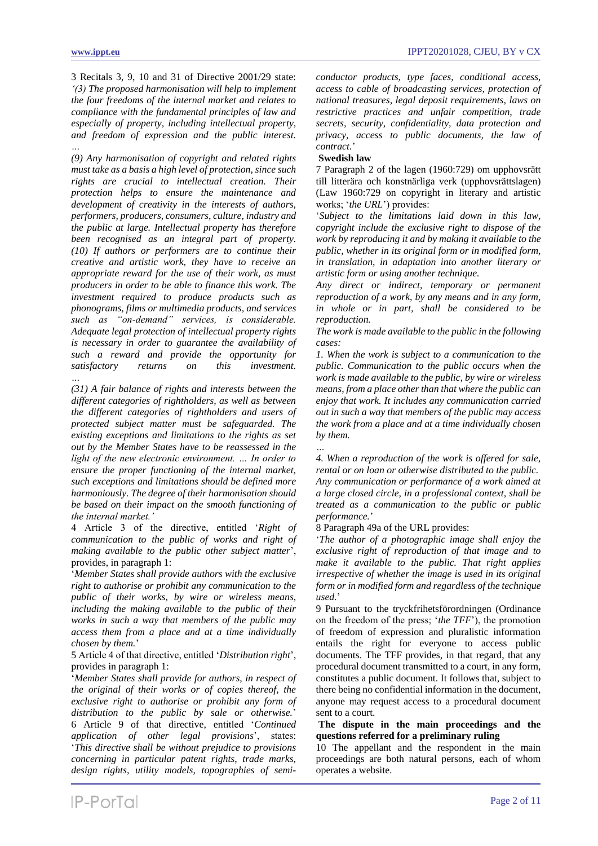3 Recitals 3, 9, 10 and 31 of Directive 2001/29 state: *'(3) The proposed harmonisation will help to implement the four freedoms of the internal market and relates to compliance with the fundamental principles of law and especially of property, including intellectual property, and freedom of expression and the public interest. …*

*(9) Any harmonisation of copyright and related rights must take as a basis a high level of protection, since such rights are crucial to intellectual creation. Their protection helps to ensure the maintenance and development of creativity in the interests of authors, performers, producers, consumers, culture, industry and the public at large. Intellectual property has therefore been recognised as an integral part of property. (10) If authors or performers are to continue their creative and artistic work, they have to receive an appropriate reward for the use of their work, as must producers in order to be able to finance this work. The investment required to produce products such as phonograms, films or multimedia products, and services such as "on-demand" services, is considerable. Adequate legal protection of intellectual property rights is necessary in order to guarantee the availability of such a reward and provide the opportunity for satisfactory returns on this investment. …*

*(31) A fair balance of rights and interests between the different categories of rightholders, as well as between the different categories of rightholders and users of protected subject matter must be safeguarded. The existing exceptions and limitations to the rights as set out by the Member States have to be reassessed in the light of the new electronic environment. … In order to ensure the proper functioning of the internal market, such exceptions and limitations should be defined more harmoniously. The degree of their harmonisation should be based on their impact on the smooth functioning of the internal market.'*

4 Article 3 of the directive, entitled '*Right of communication to the public of works and right of making available to the public other subject matter*', provides, in paragraph 1:

'*Member States shall provide authors with the exclusive right to authorise or prohibit any communication to the public of their works, by wire or wireless means, including the making available to the public of their works in such a way that members of the public may access them from a place and at a time individually chosen by them.*'

### 5 Article 4 of that directive, entitled '*Distribution right*', provides in paragraph 1:

'*Member States shall provide for authors, in respect of the original of their works or of copies thereof, the exclusive right to authorise or prohibit any form of distribution to the public by sale or otherwise.*' 6 Article 9 of that directive, entitled '*Continued application of other legal provisions*', states: '*This directive shall be without prejudice to provisions concerning in particular patent rights, trade marks, design rights, utility models, topographies of semi-* *conductor products, type faces, conditional access, access to cable of broadcasting services, protection of national treasures, legal deposit requirements, laws on restrictive practices and unfair competition, trade secrets, security, confidentiality, data protection and privacy, access to public documents, the law of contract.*'

### **Swedish law**

*…*

7 Paragraph 2 of the lagen (1960:729) om upphovsrätt till litterära och konstnärliga verk (upphovsrättslagen) (Law 1960:729 on copyright in literary and artistic works; '*the URL*') provides:

'*Subject to the limitations laid down in this law, copyright include the exclusive right to dispose of the work by reproducing it and by making it available to the public, whether in its original form or in modified form, in translation, in adaptation into another literary or artistic form or using another technique.*

*Any direct or indirect, temporary or permanent reproduction of a work, by any means and in any form, in whole or in part, shall be considered to be reproduction.*

*The work is made available to the public in the following cases:*

*1. When the work is subject to a communication to the public. Communication to the public occurs when the work is made available to the public, by wire or wireless means, from a place other than that where the public can enjoy that work. It includes any communication carried out in such a way that members of the public may access the work from a place and at a time individually chosen by them.*

*4. When a reproduction of the work is offered for sale, rental or on loan or otherwise distributed to the public. Any communication or performance of a work aimed at a large closed circle, in a professional context, shall be treated as a communication to the public or public performance.*'

8 Paragraph 49a of the URL provides:

'*The author of a photographic image shall enjoy the exclusive right of reproduction of that image and to make it available to the public. That right applies irrespective of whether the image is used in its original form or in modified form and regardless of the technique used.*'

9 Pursuant to the tryckfrihetsförordningen (Ordinance on the freedom of the press; '*the TFF*'), the promotion of freedom of expression and pluralistic information entails the right for everyone to access public documents. The TFF provides, in that regard, that any procedural document transmitted to a court, in any form, constitutes a public document. It follows that, subject to there being no confidential information in the document, anyone may request access to a procedural document sent to a court.

### **The dispute in the main proceedings and the questions referred for a preliminary ruling**

10 The appellant and the respondent in the main proceedings are both natural persons, each of whom operates a website.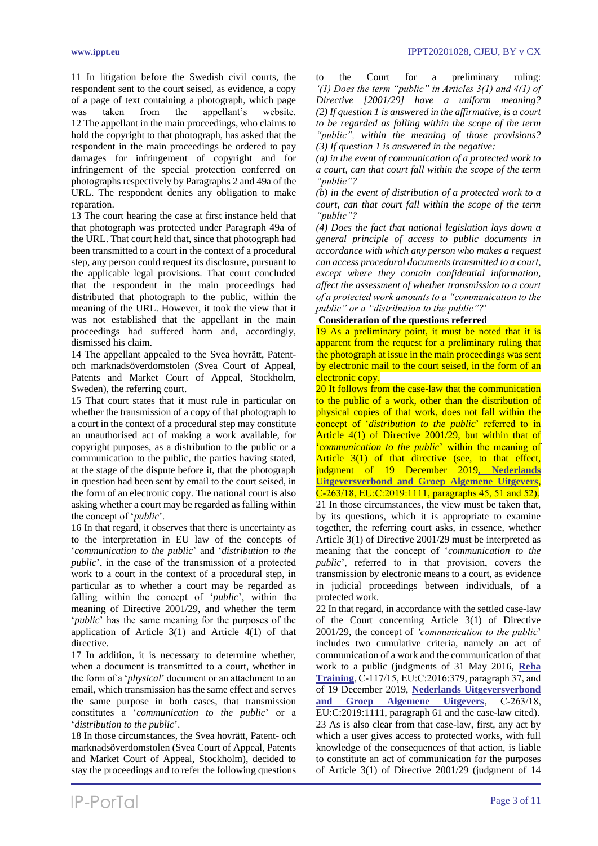11 In litigation before the Swedish civil courts, the respondent sent to the court seised, as evidence, a copy of a page of text containing a photograph, which page was taken from the appellant's website. 12 The appellant in the main proceedings, who claims to hold the copyright to that photograph, has asked that the respondent in the main proceedings be ordered to pay damages for infringement of copyright and for infringement of the special protection conferred on photographs respectively by Paragraphs 2 and 49a of the URL. The respondent denies any obligation to make reparation.

13 The court hearing the case at first instance held that that photograph was protected under Paragraph 49a of the URL. That court held that, since that photograph had been transmitted to a court in the context of a procedural step, any person could request its disclosure, pursuant to the applicable legal provisions. That court concluded that the respondent in the main proceedings had distributed that photograph to the public, within the meaning of the URL. However, it took the view that it was not established that the appellant in the main proceedings had suffered harm and, accordingly, dismissed his claim.

14 The appellant appealed to the Svea hovrätt, Patentoch marknadsöverdomstolen (Svea Court of Appeal, Patents and Market Court of Appeal, Stockholm, Sweden), the referring court.

15 That court states that it must rule in particular on whether the transmission of a copy of that photograph to a court in the context of a procedural step may constitute an unauthorised act of making a work available, for copyright purposes, as a distribution to the public or a communication to the public, the parties having stated, at the stage of the dispute before it, that the photograph in question had been sent by email to the court seised, in the form of an electronic copy. The national court is also asking whether a court may be regarded as falling within the concept of '*public*'.

16 In that regard, it observes that there is uncertainty as to the interpretation in EU law of the concepts of '*communication to the public*' and '*distribution to the public*', in the case of the transmission of a protected work to a court in the context of a procedural step, in particular as to whether a court may be regarded as falling within the concept of '*public*', within the meaning of Directive 2001/29, and whether the term '*public*' has the same meaning for the purposes of the application of Article  $3(1)$  and Article  $4(1)$  of that directive.

17 In addition, it is necessary to determine whether, when a document is transmitted to a court, whether in the form of a '*physical*' document or an attachment to an email, which transmission has the same effect and serves the same purpose in both cases, that transmission constitutes a '*communication to the public*' or a '*distribution to the public*'.

18 In those circumstances, the Svea hovrätt, Patent- och marknadsöverdomstolen (Svea Court of Appeal, Patents and Market Court of Appeal, Stockholm), decided to stay the proceedings and to refer the following questions to the Court for a preliminary ruling: *'(1) Does the term "public" in Articles 3(1) and 4(1) of Directive [2001/29] have a uniform meaning? (2) If question 1 is answered in the affirmative, is a court to be regarded as falling within the scope of the term "public", within the meaning of those provisions? (3) If question 1 is answered in the negative:*

*(a) in the event of communication of a protected work to a court, can that court fall within the scope of the term "public"?*

*(b) in the event of distribution of a protected work to a court, can that court fall within the scope of the term "public"?*

*(4) Does the fact that national legislation lays down a general principle of access to public documents in accordance with which any person who makes a request can access procedural documents transmitted to a court, except where they contain confidential information, affect the assessment of whether transmission to a court of a protected work amounts to a "communication to the public" or a "distribution to the public"?*'

### **Consideration of the questions referred**

<span id="page-2-0"></span>19 As a preliminary point, it must be noted that it is apparent from the request for a preliminary ruling that the photograph at issue in the main proceedings was sent by electronic mail to the court seised, in the form of an electronic copy.

20 It follows from the case-law that the communication to the public of a work, other than the distribution of physical copies of that work, does not fall within the concept of '*distribution to the public*' referred to in Article 4(1) of Directive 2001/29, but within that of '*communication to the public*' within the meaning of Article 3(1) of that directive (see, to that effect, judgment of 19 December 2019**[, Nederlands](https://www.ippt.eu/sites/ippt/files/2019/IPPT20191219_CJEU_NUV_v_Tom_Kabinet.pdf)  [Uitgeversverbond and Groep Algemene Uitgevers](https://www.ippt.eu/sites/ippt/files/2019/IPPT20191219_CJEU_NUV_v_Tom_Kabinet.pdf)**, C‑263/18, EU:C:2019:1111, paragraphs 45, 51 and 52). 21 In those circumstances, the view must be taken that,

by its questions, which it is appropriate to examine together, the referring court asks, in essence, whether Article 3(1) of Directive 2001/29 must be interpreted as meaning that the concept of '*communication to the public*', referred to in that provision, covers the transmission by electronic means to a court, as evidence in judicial proceedings between individuals, of a protected work.

22 In that regard, in accordance with the settled case-law of the Court concerning Article 3(1) of Directive 2001/29, the concept of *'communication to the public*' includes two cumulative criteria, namely an act of communication of a work and the communication of that work to a public (judgments of 31 May 2016, **[Reha](https://www.ippt.eu/sites/ippt/files/2016/IPPT20160531_CJEU_Reha_Training_v_Gema.pdf) [Training](https://www.ippt.eu/sites/ippt/files/2016/IPPT20160531_CJEU_Reha_Training_v_Gema.pdf)**, C‑117/15, EU:C:2016:379, paragraph 37, and of 19 December 2019, **[Nederlands Uitgeversverbond](https://www.ippt.eu/sites/ippt/files/2019/IPPT20191219_CJEU_NUV_v_Tom_Kabinet.pdf)  [and Groep Algemene Uitgevers](https://www.ippt.eu/sites/ippt/files/2019/IPPT20191219_CJEU_NUV_v_Tom_Kabinet.pdf)**, C‑263/18, EU:C:2019:1111, paragraph 61 and the case-law cited). 23 As is also clear from that case-law, first, any act by which a user gives access to protected works, with full knowledge of the consequences of that action, is liable to constitute an act of communication for the purposes of Article 3(1) of Directive 2001/29 (judgment of 14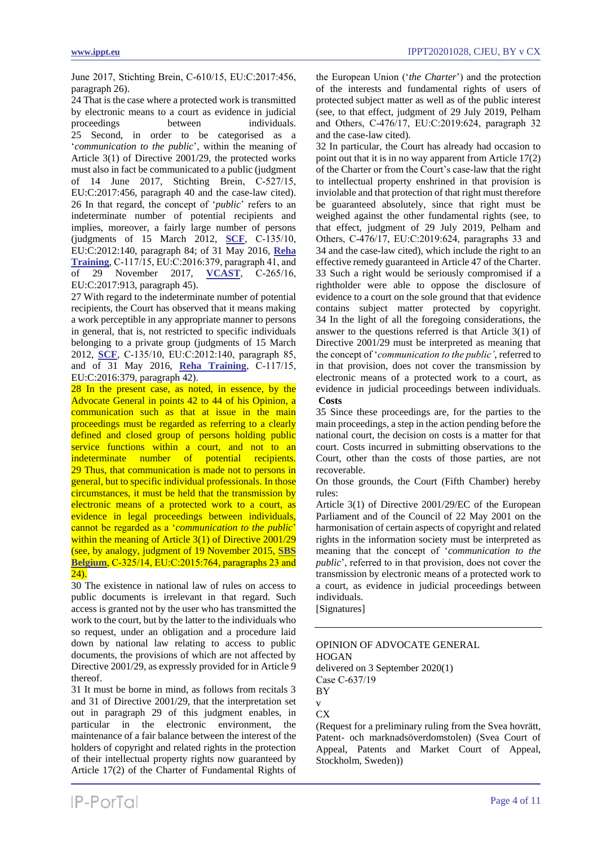June 2017, Stichting Brein, C‑610/15, EU:C:2017:456, paragraph 26).

24 That is the case where a protected work is transmitted by electronic means to a court as evidence in judicial proceedings between individuals. 25 Second, in order to be categorised as a '*communication to the public*', within the meaning of Article 3(1) of Directive 2001/29, the protected works must also in fact be communicated to a public (judgment of 14 June 2017, Stichting Brein, C‑527/15, EU:C:2017:456, paragraph 40 and the case-law cited). 26 In that regard, the concept of '*public*' refers to an indeterminate number of potential recipients and implies, moreover, a fairly large number of persons (judgments of 15 March 2012, **[SCF](https://www.ippt.eu/sites/ippt/files/2012/IPPT20120315_ECJ_SCF_v_Del_Corso.pdf)**, C‑135/10, EU:C:2012:140, paragraph 84; of 31 May 2016, **[Reha](https://www.ippt.eu/sites/ippt/files/2016/IPPT20160531_CJEU_Reha_Training_v_Gema.pdf)  [Training](https://www.ippt.eu/sites/ippt/files/2016/IPPT20160531_CJEU_Reha_Training_v_Gema.pdf)**, C‑117/15, EU:C:2016:379, paragraph 41, and of 29 November 2017, **[VCAST](https://www.ippt.eu/sites/ippt/files/2017/IPPT20171129_CJEU_VCAST_v_RTI.pdf)**, C‑265/16, EU:C:2017:913, paragraph 45).

27 With regard to the indeterminate number of potential recipients, the Court has observed that it means making a work perceptible in any appropriate manner to persons in general, that is, not restricted to specific individuals belonging to a private group (judgments of 15 March 2012, **[SCF](https://www.ippt.eu/sites/ippt/files/2012/IPPT20120315_ECJ_SCF_v_Del_Corso.pdf)**, C‑135/10, EU:C:2012:140, paragraph 85, and of 31 May 2016, **[Reha Training](https://www.ippt.eu/sites/ippt/files/2016/IPPT20160531_CJEU_Reha_Training_v_Gema.pdf)**, C‑117/15, EU:C:2016:379, paragraph 42).

<span id="page-3-0"></span>28 In the present case, as noted, in essence, by the Advocate General in points 42 to 44 of his Opinion, a communication such as that at issue in the main proceedings must be regarded as referring to a clearly defined and closed group of persons holding public service functions within a court, and not to an indeterminate number of potential recipients. 29 Thus, that communication is made not to persons in general, but to specific individual professionals. In those circumstances, it must be held that the transmission by electronic means of a protected work to a court, as evidence in legal proceedings between individuals, cannot be regarded as a '*communication to the public*' within the meaning of Article 3(1) of Directive 2001/29 (see, by analogy, judgment of 19 November 2015, **[SBS](https://www.ippt.eu/sites/ippt/files/2015/IPPT20151119_CJEU_SBS_Belgium.pdf)  [Belgium](https://www.ippt.eu/sites/ippt/files/2015/IPPT20151119_CJEU_SBS_Belgium.pdf)**, C‑325/14, EU:C:2015:764, paragraphs 23 and  $24$ ).

30 The existence in national law of rules on access to public documents is irrelevant in that regard. Such access is granted not by the user who has transmitted the work to the court, but by the latter to the individuals who so request, under an obligation and a procedure laid down by national law relating to access to public documents, the provisions of which are not affected by Directive 2001/29, as expressly provided for in Article 9 thereof.

31 It must be borne in mind, as follows from recitals 3 and 31 of Directive 2001/29, that the interpretation set out in paragraph 29 of this judgment enables, in particular in the electronic environment, the maintenance of a fair balance between the interest of the holders of copyright and related rights in the protection of their intellectual property rights now guaranteed by Article 17(2) of the Charter of Fundamental Rights of the European Union ('*the Charter*') and the protection of the interests and fundamental rights of users of protected subject matter as well as of the public interest (see, to that effect, judgment of 29 July 2019, Pelham and Others, C‑476/17, EU:C:2019:624, paragraph 32 and the case-law cited).

32 In particular, the Court has already had occasion to point out that it is in no way apparent from Article 17(2) of the Charter or from the Court's case-law that the right to intellectual property enshrined in that provision is inviolable and that protection of that right must therefore be guaranteed absolutely, since that right must be weighed against the other fundamental rights (see, to that effect, judgment of 29 July 2019, Pelham and Others, C‑476/17, EU:C:2019:624, paragraphs 33 and 34 and the case-law cited), which include the right to an effective remedy guaranteed in Article 47 of the Charter. 33 Such a right would be seriously compromised if a rightholder were able to oppose the disclosure of evidence to a court on the sole ground that that evidence contains subject matter protected by copyright. 34 In the light of all the foregoing considerations, the answer to the questions referred is that Article 3(1) of Directive 2001/29 must be interpreted as meaning that the concept of '*communication to the public'*, referred to in that provision, does not cover the transmission by electronic means of a protected work to a court, as evidence in judicial proceedings between individuals. **Costs**

35 Since these proceedings are, for the parties to the main proceedings, a step in the action pending before the national court, the decision on costs is a matter for that court. Costs incurred in submitting observations to the Court, other than the costs of those parties, are not recoverable.

On those grounds, the Court (Fifth Chamber) hereby rules:

Article 3(1) of Directive 2001/29/EC of the European Parliament and of the Council of 22 May 2001 on the harmonisation of certain aspects of copyright and related rights in the information society must be interpreted as meaning that the concept of '*communication to the public*', referred to in that provision, does not cover the transmission by electronic means of a protected work to a court, as evidence in judicial proceedings between individuals.

[Signatures]

### <span id="page-3-1"></span>OPINION OF ADVOCATE GENERAL **HOGAN** delivered on 3 September 2020(1) Case C‑637/19

BY

v

## CX

(Request for a preliminary ruling from the Svea hovrätt, Patent- och marknadsöverdomstolen) (Svea Court of Appeal, Patents and Market Court of Appeal, Stockholm, Sweden))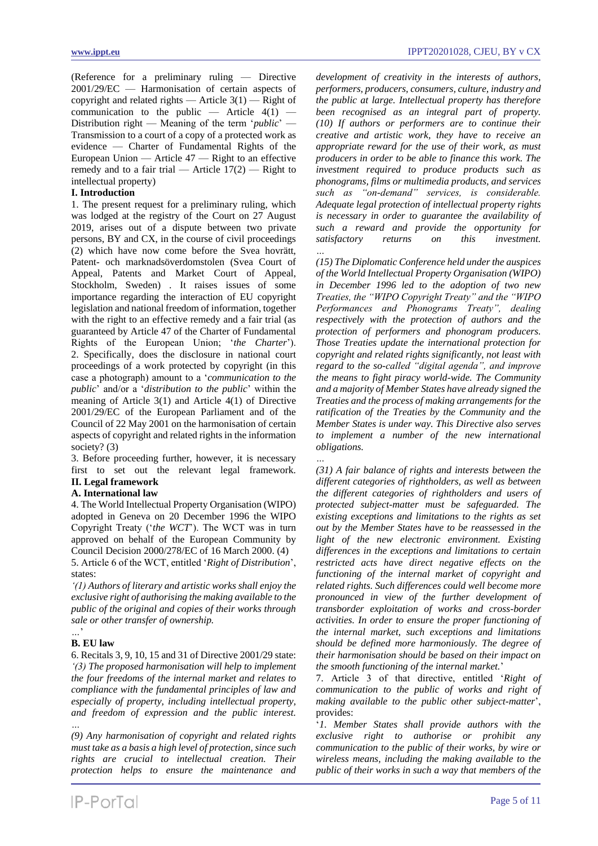(Reference for a preliminary ruling — Directive 2001/29/EC — Harmonisation of certain aspects of copyright and related rights — Article  $3(1)$  — Right of communication to the public — Article  $4(1)$  — Distribution right — Meaning of the term '*public*' — Transmission to a court of a copy of a protected work as evidence — Charter of Fundamental Rights of the European Union — Article 47 — Right to an effective remedy and to a fair trial — Article  $17(2)$  — Right to intellectual property)

## **I. Introduction**

1. The present request for a preliminary ruling, which was lodged at the registry of the Court on 27 August 2019, arises out of a dispute between two private persons, BY and CX, in the course of civil proceedings (2) which have now come before the Svea hovrätt, Patent- och marknadsöverdomstolen (Svea Court of Appeal, Patents and Market Court of Appeal, Stockholm, Sweden) . It raises issues of some importance regarding the interaction of EU copyright legislation and national freedom of information, together with the right to an effective remedy and a fair trial (as guaranteed by Article 47 of the Charter of Fundamental Rights of the European Union; '*the Charter*'). 2. Specifically, does the disclosure in national court proceedings of a work protected by copyright (in this case a photograph) amount to a '*communication to the public*' and/or a '*distribution to the public*' within the meaning of Article 3(1) and Article 4(1) of Directive 2001/29/EC of the European Parliament and of the Council of 22 May 2001 on the harmonisation of certain aspects of copyright and related rights in the information society? (3)

3. Before proceeding further, however, it is necessary first to set out the relevant legal framework. **II. Legal framework**

## **A. International law**

4. The World Intellectual Property Organisation (WIPO) adopted in Geneva on 20 December 1996 the WIPO Copyright Treaty ('*the WCT*'). The WCT was in turn approved on behalf of the European Community by Council Decision 2000/278/EC of 16 March 2000. (4) 5. Article 6 of the WCT, entitled '*Right of Distribution*', states:

*'(1) Authors of literary and artistic works shall enjoy the exclusive right of authorising the making available to the public of the original and copies of their works through sale or other transfer of ownership.*

### **B. EU law**

*…*'

6. Recitals 3, 9, 10, 15 and 31 of Directive 2001/29 state: *'(3) The proposed harmonisation will help to implement the four freedoms of the internal market and relates to compliance with the fundamental principles of law and especially of property, including intellectual property, and freedom of expression and the public interest. …*

*(9) Any harmonisation of copyright and related rights must take as a basis a high level of protection, since such rights are crucial to intellectual creation. Their protection helps to ensure the maintenance and*  *development of creativity in the interests of authors, performers, producers, consumers, culture, industry and the public at large. Intellectual property has therefore been recognised as an integral part of property. (10) If authors or performers are to continue their creative and artistic work, they have to receive an appropriate reward for the use of their work, as must producers in order to be able to finance this work. The investment required to produce products such as phonograms, films or multimedia products, and services such as "on-demand" services, is considerable. Adequate legal protection of intellectual property rights is necessary in order to guarantee the availability of such a reward and provide the opportunity for satisfactory returns on this investment. …*

*(15) The Diplomatic Conference held under the auspices of the World Intellectual Property Organisation (WIPO) in December 1996 led to the adoption of two new Treaties, the "WIPO Copyright Treaty" and the "WIPO Performances and Phonograms Treaty", dealing respectively with the protection of authors and the protection of performers and phonogram producers. Those Treaties update the international protection for copyright and related rights significantly, not least with regard to the so-called "digital agenda", and improve the means to fight piracy world-wide. The Community and a majority of Member States have already signed the Treaties and the process of making arrangements for the ratification of the Treaties by the Community and the Member States is under way. This Directive also serves to implement a number of the new international obligations.*

*… (31) A fair balance of rights and interests between the different categories of rightholders, as well as between the different categories of rightholders and users of protected subject-matter must be safeguarded. The existing exceptions and limitations to the rights as set out by the Member States have to be reassessed in the light of the new electronic environment. Existing differences in the exceptions and limitations to certain restricted acts have direct negative effects on the functioning of the internal market of copyright and related rights. Such differences could well become more pronounced in view of the further development of transborder exploitation of works and cross-border activities. In order to ensure the proper functioning of the internal market, such exceptions and limitations should be defined more harmoniously. The degree of their harmonisation should be based on their impact on the smooth functioning of the internal market.*'

7. Article 3 of that directive, entitled '*Right of communication to the public of works and right of making available to the public other subject-matter*', provides:

'*1. Member States shall provide authors with the exclusive right to authorise or prohibit any communication to the public of their works, by wire or wireless means, including the making available to the public of their works in such a way that members of the*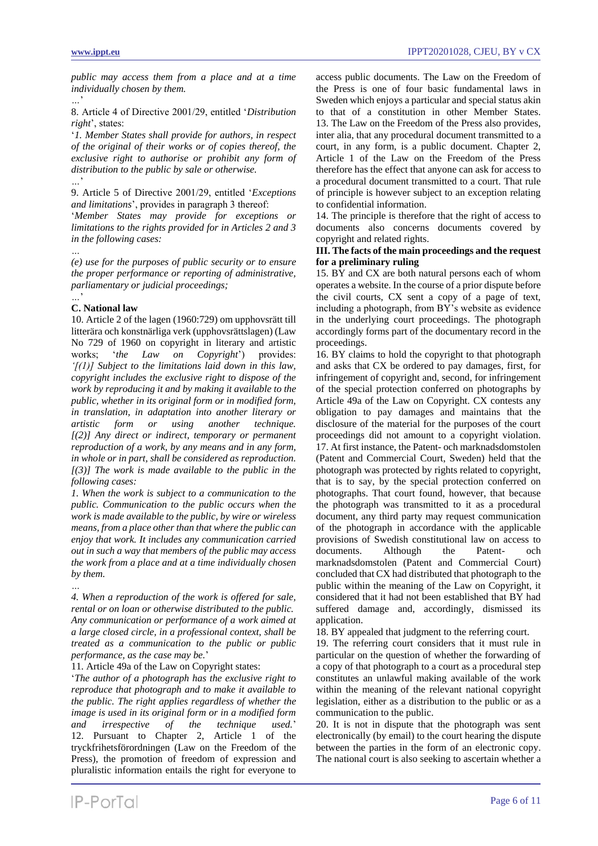*public may access them from a place and at a time individually chosen by them.*

# *…*'

*…*

*…*

8. Article 4 of Directive 2001/29, entitled '*Distribution right*', states:

'*1. Member States shall provide for authors, in respect of the original of their works or of copies thereof, the exclusive right to authorise or prohibit any form of distribution to the public by sale or otherwise. …*'

9. Article 5 of Directive 2001/29, entitled '*Exceptions and limitations*', provides in paragraph 3 thereof:

'*Member States may provide for exceptions or limitations to the rights provided for in Articles 2 and 3 in the following cases:*

*(e) use for the purposes of public security or to ensure the proper performance or reporting of administrative, parliamentary or judicial proceedings; …*'

### **C. National law**

10. Article 2 of the lagen (1960:729) om upphovsrätt till litterära och konstnärliga verk (upphovsrättslagen) (Law No 729 of 1960 on copyright in literary and artistic works; '*the Law on Copyright*') provides: *'[(1)] Subject to the limitations laid down in this law, copyright includes the exclusive right to dispose of the work by reproducing it and by making it available to the public, whether in its original form or in modified form, in translation, in adaptation into another literary or artistic form or using another technique. [(2)] Any direct or indirect, temporary or permanent reproduction of a work, by any means and in any form, in whole or in part, shall be considered as reproduction. [(3)] The work is made available to the public in the following cases:*

*1. When the work is subject to a communication to the public. Communication to the public occurs when the work is made available to the public, by wire or wireless means, from a place other than that where the public can enjoy that work. It includes any communication carried out in such a way that members of the public may access the work from a place and at a time individually chosen by them.*

*4. When a reproduction of the work is offered for sale, rental or on loan or otherwise distributed to the public. Any communication or performance of a work aimed at a large closed circle, in a professional context, shall be treated as a communication to the public or public performance, as the case may be.*'

11. Article 49a of the Law on Copyright states:

'*The author of a photograph has the exclusive right to reproduce that photograph and to make it available to the public. The right applies regardless of whether the image is used in its original form or in a modified form and irrespective of the technique used.*' 12. Pursuant to Chapter 2, Article 1 of the tryckfrihetsförordningen (Law on the Freedom of the Press), the promotion of freedom of expression and pluralistic information entails the right for everyone to access public documents. The Law on the Freedom of the Press is one of four basic fundamental laws in Sweden which enjoys a particular and special status akin to that of a constitution in other Member States. 13. The Law on the Freedom of the Press also provides, inter alia, that any procedural document transmitted to a court, in any form, is a public document. Chapter 2, Article 1 of the Law on the Freedom of the Press therefore has the effect that anyone can ask for access to a procedural document transmitted to a court. That rule of principle is however subject to an exception relating to confidential information.

14. The principle is therefore that the right of access to documents also concerns documents covered by copyright and related rights.

### **III. The facts of the main proceedings and the request for a preliminary ruling**

15. BY and CX are both natural persons each of whom operates a website. In the course of a prior dispute before the civil courts, CX sent a copy of a page of text, including a photograph, from BY's website as evidence in the underlying court proceedings. The photograph accordingly forms part of the documentary record in the proceedings.

16. BY claims to hold the copyright to that photograph and asks that CX be ordered to pay damages, first, for infringement of copyright and, second, for infringement of the special protection conferred on photographs by Article 49a of the Law on Copyright. CX contests any obligation to pay damages and maintains that the disclosure of the material for the purposes of the court proceedings did not amount to a copyright violation. 17. At first instance, the Patent- och marknadsdomstolen (Patent and Commercial Court, Sweden) held that the photograph was protected by rights related to copyright, that is to say, by the special protection conferred on photographs. That court found, however, that because the photograph was transmitted to it as a procedural document, any third party may request communication of the photograph in accordance with the applicable provisions of Swedish constitutional law on access to documents. Although the Patent- och marknadsdomstolen (Patent and Commercial Court) concluded that CX had distributed that photograph to the public within the meaning of the Law on Copyright, it considered that it had not been established that BY had suffered damage and, accordingly, dismissed its application.

18. BY appealed that judgment to the referring court.

19. The referring court considers that it must rule in particular on the question of whether the forwarding of a copy of that photograph to a court as a procedural step constitutes an unlawful making available of the work within the meaning of the relevant national copyright legislation, either as a distribution to the public or as a communication to the public.

20. It is not in dispute that the photograph was sent electronically (by email) to the court hearing the dispute between the parties in the form of an electronic copy. The national court is also seeking to ascertain whether a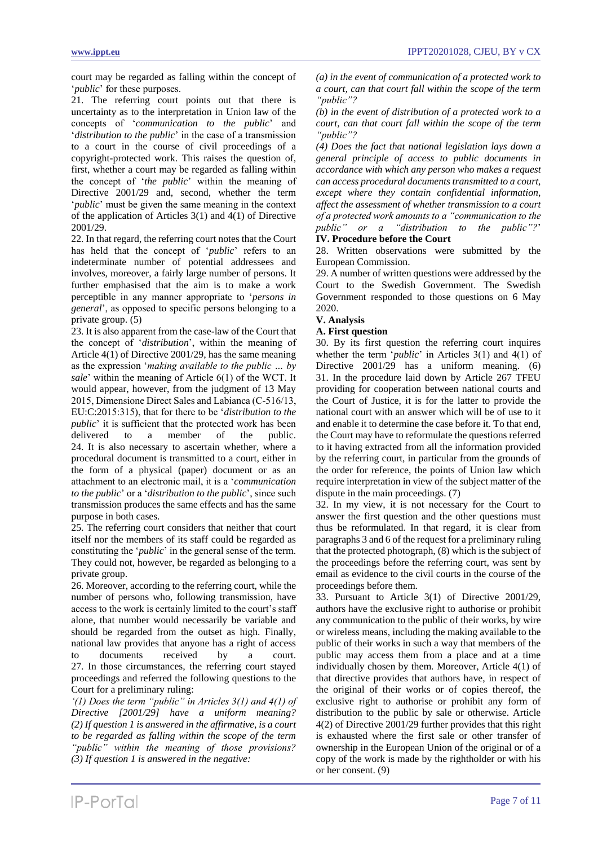court may be regarded as falling within the concept of '*public*' for these purposes.

21. The referring court points out that there is uncertainty as to the interpretation in Union law of the concepts of '*communication to the public*' and '*distribution to the public*' in the case of a transmission to a court in the course of civil proceedings of a copyright-protected work. This raises the question of, first, whether a court may be regarded as falling within the concept of '*the public*' within the meaning of Directive 2001/29 and, second, whether the term '*public*' must be given the same meaning in the context of the application of Articles 3(1) and 4(1) of Directive 2001/29.

22. In that regard, the referring court notes that the Court has held that the concept of '*public*' refers to an indeterminate number of potential addressees and involves, moreover, a fairly large number of persons. It further emphasised that the aim is to make a work perceptible in any manner appropriate to '*persons in general*', as opposed to specific persons belonging to a private group. (5)

23. It is also apparent from the case-law of the Court that the concept of '*distribution*', within the meaning of Article 4(1) of Directive 2001/29, has the same meaning as the expression '*making available to the public … by sale*' within the meaning of Article 6(1) of the WCT. It would appear, however, from the judgment of 13 May 2015, Dimensione Direct Sales and Labianca (C‑516/13, EU:C:2015:315), that for there to be '*distribution to the public*' it is sufficient that the protected work has been delivered to a member of the public. 24. It is also necessary to ascertain whether, where a procedural document is transmitted to a court, either in the form of a physical (paper) document or as an attachment to an electronic mail, it is a '*communication to the public*' or a '*distribution to the public*', since such transmission produces the same effects and has the same purpose in both cases.

25. The referring court considers that neither that court itself nor the members of its staff could be regarded as constituting the '*public*' in the general sense of the term. They could not, however, be regarded as belonging to a private group.

26. Moreover, according to the referring court, while the number of persons who, following transmission, have access to the work is certainly limited to the court's staff alone, that number would necessarily be variable and should be regarded from the outset as high. Finally, national law provides that anyone has a right of access to documents received by a court. 27. In those circumstances, the referring court stayed proceedings and referred the following questions to the Court for a preliminary ruling:

*'(1) Does the term "public" in Articles 3(1) and 4(1) of Directive [2001/29] have a uniform meaning? (2) If question 1 is answered in the affirmative, is a court to be regarded as falling within the scope of the term "public" within the meaning of those provisions? (3) If question 1 is answered in the negative:*

*(a) in the event of communication of a protected work to a court, can that court fall within the scope of the term "public"?*

*(b) in the event of distribution of a protected work to a court, can that court fall within the scope of the term "public"?*

*(4) Does the fact that national legislation lays down a general principle of access to public documents in accordance with which any person who makes a request can access procedural documents transmitted to a court, except where they contain confidential information, affect the assessment of whether transmission to a court of a protected work amounts to a "communication to the public" or a "distribution to the public"?*'

### **IV. Procedure before the Court**

28. Written observations were submitted by the European Commission.

29. A number of written questions were addressed by the Court to the Swedish Government. The Swedish Government responded to those questions on 6 May 2020.

### **V. Analysis**

### **A. First question**

30. By its first question the referring court inquires whether the term '*public*' in Articles 3(1) and 4(1) of Directive 2001/29 has a uniform meaning. (6) 31. In the procedure laid down by Article 267 TFEU providing for cooperation between national courts and the Court of Justice, it is for the latter to provide the national court with an answer which will be of use to it and enable it to determine the case before it. To that end, the Court may have to reformulate the questions referred to it having extracted from all the information provided by the referring court, in particular from the grounds of the order for reference, the points of Union law which require interpretation in view of the subject matter of the dispute in the main proceedings. (7)

32. In my view, it is not necessary for the Court to answer the first question and the other questions must thus be reformulated. In that regard, it is clear from paragraphs 3 and 6 of the request for a preliminary ruling that the protected photograph, (8) which is the subject of the proceedings before the referring court, was sent by email as evidence to the civil courts in the course of the proceedings before them.

33. Pursuant to Article 3(1) of Directive 2001/29, authors have the exclusive right to authorise or prohibit any communication to the public of their works, by wire or wireless means, including the making available to the public of their works in such a way that members of the public may access them from a place and at a time individually chosen by them. Moreover, Article 4(1) of that directive provides that authors have, in respect of the original of their works or of copies thereof, the exclusive right to authorise or prohibit any form of distribution to the public by sale or otherwise. Article 4(2) of Directive 2001/29 further provides that this right is exhausted where the first sale or other transfer of ownership in the European Union of the original or of a copy of the work is made by the rightholder or with his or her consent. (9)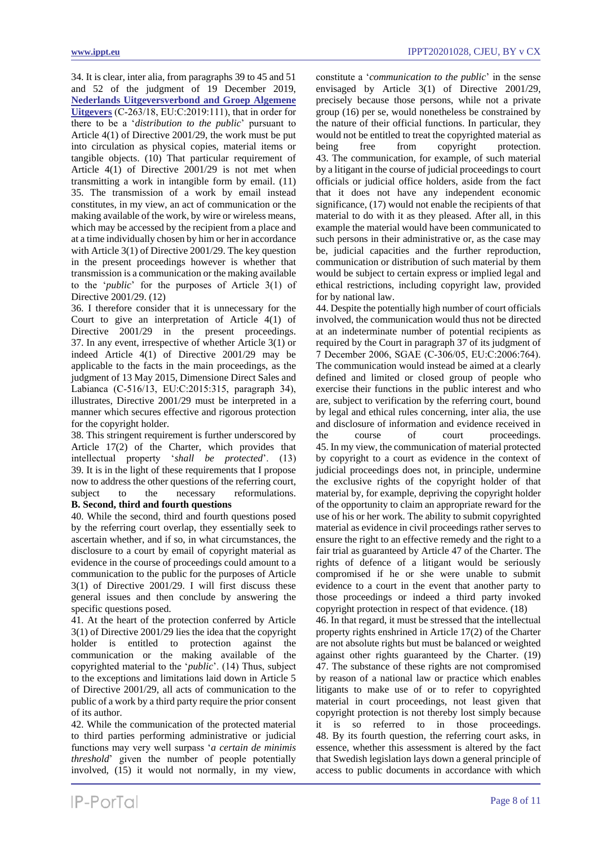34. It is clear, inter alia, from paragraphs 39 to 45 and 51 and 52 of the judgment of 19 December 2019, **[Nederlands Uitgeversverbond and Groep Algemene](https://www.ippt.eu/sites/ippt/files/2019/IPPT20191219_CJEU_NUV_v_Tom_Kabinet.pdf)  [Uitgevers](https://www.ippt.eu/sites/ippt/files/2019/IPPT20191219_CJEU_NUV_v_Tom_Kabinet.pdf)** (C‑263/18, EU:C:2019:111), that in order for there to be a '*distribution to the public*' pursuant to Article 4(1) of Directive 2001/29, the work must be put into circulation as physical copies, material items or tangible objects. (10) That particular requirement of Article 4(1) of Directive 2001/29 is not met when transmitting a work in intangible form by email. (11) 35. The transmission of a work by email instead constitutes, in my view, an act of communication or the making available of the work, by wire or wireless means, which may be accessed by the recipient from a place and at a time individually chosen by him or her in accordance with Article 3(1) of Directive 2001/29. The key question in the present proceedings however is whether that transmission is a communication or the making available to the '*public*' for the purposes of Article 3(1) of Directive 2001/29. (12)

36. I therefore consider that it is unnecessary for the Court to give an interpretation of Article 4(1) of Directive 2001/29 in the present proceedings. 37. In any event, irrespective of whether Article 3(1) or indeed Article 4(1) of Directive 2001/29 may be applicable to the facts in the main proceedings, as the judgment of 13 May 2015, Dimensione Direct Sales and Labianca (C‑516/13, EU:C:2015:315, paragraph 34), illustrates, Directive 2001/29 must be interpreted in a manner which secures effective and rigorous protection for the copyright holder.

38. This stringent requirement is further underscored by Article 17(2) of the Charter, which provides that intellectual property '*shall be protected*'. (13) 39. It is in the light of these requirements that I propose now to address the other questions of the referring court, subject to the necessary reformulations.

## **B. Second, third and fourth questions**

40. While the second, third and fourth questions posed by the referring court overlap, they essentially seek to ascertain whether, and if so, in what circumstances, the disclosure to a court by email of copyright material as evidence in the course of proceedings could amount to a communication to the public for the purposes of Article 3(1) of Directive 2001/29. I will first discuss these general issues and then conclude by answering the specific questions posed.

41. At the heart of the protection conferred by Article 3(1) of Directive 2001/29 lies the idea that the copyright holder is entitled to protection against the communication or the making available of the copyrighted material to the '*public*'. (14) Thus, subject to the exceptions and limitations laid down in Article 5 of Directive 2001/29, all acts of communication to the public of a work by a third party require the prior consent of its author.

42. While the communication of the protected material to third parties performing administrative or judicial functions may very well surpass '*a certain de minimis threshold*' given the number of people potentially involved, (15) it would not normally, in my view, constitute a '*communication to the public*' in the sense envisaged by Article 3(1) of Directive 2001/29, precisely because those persons, while not a private group (16) per se, would nonetheless be constrained by the nature of their official functions. In particular, they would not be entitled to treat the copyrighted material as being free from copyright protection. 43. The communication, for example, of such material by a litigant in the course of judicial proceedings to court officials or judicial office holders, aside from the fact that it does not have any independent economic significance, (17) would not enable the recipients of that material to do with it as they pleased. After all, in this example the material would have been communicated to such persons in their administrative or, as the case may be, judicial capacities and the further reproduction, communication or distribution of such material by them would be subject to certain express or implied legal and ethical restrictions, including copyright law, provided for by national law.

44. Despite the potentially high number of court officials involved, the communication would thus not be directed at an indeterminate number of potential recipients as required by the Court in paragraph 37 of its judgment of 7 December 2006, SGAE (C‑306/05, EU:C:2006:764). The communication would instead be aimed at a clearly defined and limited or closed group of people who exercise their functions in the public interest and who are, subject to verification by the referring court, bound by legal and ethical rules concerning, inter alia, the use and disclosure of information and evidence received in the course of court proceedings. 45. In my view, the communication of material protected by copyright to a court as evidence in the context of judicial proceedings does not, in principle, undermine the exclusive rights of the copyright holder of that material by, for example, depriving the copyright holder of the opportunity to claim an appropriate reward for the use of his or her work. The ability to submit copyrighted material as evidence in civil proceedings rather serves to ensure the right to an effective remedy and the right to a fair trial as guaranteed by Article 47 of the Charter. The rights of defence of a litigant would be seriously compromised if he or she were unable to submit evidence to a court in the event that another party to those proceedings or indeed a third party invoked copyright protection in respect of that evidence. (18)

46. In that regard, it must be stressed that the intellectual property rights enshrined in Article 17(2) of the Charter are not absolute rights but must be balanced or weighted against other rights guaranteed by the Charter. (19) 47. The substance of these rights are not compromised by reason of a national law or practice which enables litigants to make use of or to refer to copyrighted material in court proceedings, not least given that copyright protection is not thereby lost simply because it is so referred to in those proceedings. 48. By its fourth question, the referring court asks, in essence, whether this assessment is altered by the fact that Swedish legislation lays down a general principle of access to public documents in accordance with which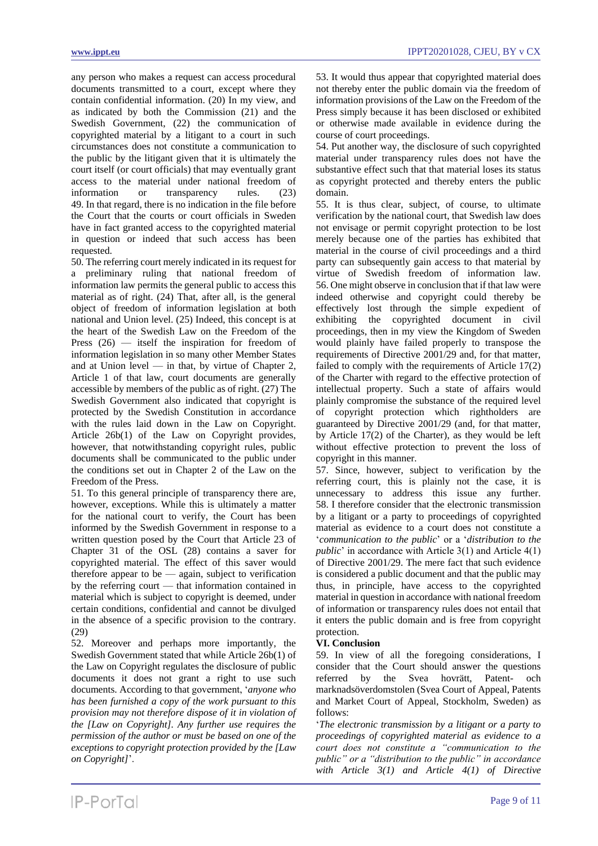any person who makes a request can access procedural documents transmitted to a court, except where they contain confidential information. (20) In my view, and as indicated by both the Commission (21) and the Swedish Government, (22) the communication of copyrighted material by a litigant to a court in such circumstances does not constitute a communication to the public by the litigant given that it is ultimately the court itself (or court officials) that may eventually grant access to the material under national freedom of information or transparency rules. (23) 49. In that regard, there is no indication in the file before the Court that the courts or court officials in Sweden have in fact granted access to the copyrighted material in question or indeed that such access has been requested.

50. The referring court merely indicated in its request for a preliminary ruling that national freedom of information law permits the general public to access this material as of right. (24) That, after all, is the general object of freedom of information legislation at both national and Union level. (25) Indeed, this concept is at the heart of the Swedish Law on the Freedom of the Press (26) — itself the inspiration for freedom of information legislation in so many other Member States and at Union level  $-$  in that, by virtue of Chapter 2, Article 1 of that law, court documents are generally accessible by members of the public as of right. (27) The Swedish Government also indicated that copyright is protected by the Swedish Constitution in accordance with the rules laid down in the Law on Copyright. Article 26b(1) of the Law on Copyright provides, however, that notwithstanding copyright rules, public documents shall be communicated to the public under the conditions set out in Chapter 2 of the Law on the Freedom of the Press.

51. To this general principle of transparency there are, however, exceptions. While this is ultimately a matter for the national court to verify, the Court has been informed by the Swedish Government in response to a written question posed by the Court that Article 23 of Chapter 31 of the OSL (28) contains a saver for copyrighted material. The effect of this saver would therefore appear to be  $-$  again, subject to verification by the referring court — that information contained in material which is subject to copyright is deemed, under certain conditions, confidential and cannot be divulged in the absence of a specific provision to the contrary. (29)

52. Moreover and perhaps more importantly, the Swedish Government stated that while Article 26b(1) of the Law on Copyright regulates the disclosure of public documents it does not grant a right to use such documents. According to that government, '*anyone who has been furnished a copy of the work pursuant to this provision may not therefore dispose of it in violation of the [Law on Copyright]. Any further use requires the permission of the author or must be based on one of the exceptions to copyright protection provided by the [Law on Copyright]*'.

53. It would thus appear that copyrighted material does not thereby enter the public domain via the freedom of information provisions of the Law on the Freedom of the Press simply because it has been disclosed or exhibited or otherwise made available in evidence during the course of court proceedings.

54. Put another way, the disclosure of such copyrighted material under transparency rules does not have the substantive effect such that that material loses its status as copyright protected and thereby enters the public domain.

55. It is thus clear, subject, of course, to ultimate verification by the national court, that Swedish law does not envisage or permit copyright protection to be lost merely because one of the parties has exhibited that material in the course of civil proceedings and a third party can subsequently gain access to that material by virtue of Swedish freedom of information law. 56. One might observe in conclusion that if that law were indeed otherwise and copyright could thereby be effectively lost through the simple expedient of exhibiting the copyrighted document in civil proceedings, then in my view the Kingdom of Sweden would plainly have failed properly to transpose the requirements of Directive 2001/29 and, for that matter, failed to comply with the requirements of Article 17(2) of the Charter with regard to the effective protection of intellectual property. Such a state of affairs would plainly compromise the substance of the required level of copyright protection which rightholders are guaranteed by Directive 2001/29 (and, for that matter, by Article 17(2) of the Charter), as they would be left without effective protection to prevent the loss of copyright in this manner.

57. Since, however, subject to verification by the referring court, this is plainly not the case, it is unnecessary to address this issue any further. 58. I therefore consider that the electronic transmission by a litigant or a party to proceedings of copyrighted material as evidence to a court does not constitute a '*communication to the public*' or a '*distribution to the public*' in accordance with Article 3(1) and Article 4(1) of Directive 2001/29. The mere fact that such evidence is considered a public document and that the public may thus, in principle, have access to the copyrighted material in question in accordance with national freedom of information or transparency rules does not entail that it enters the public domain and is free from copyright protection.

### **VI. Conclusion**

59. In view of all the foregoing considerations, I consider that the Court should answer the questions referred by the Svea hovrätt, Patent- och marknadsöverdomstolen (Svea Court of Appeal, Patents and Market Court of Appeal, Stockholm, Sweden) as follows:

'*The electronic transmission by a litigant or a party to proceedings of copyrighted material as evidence to a court does not constitute a "communication to the public" or a "distribution to the public" in accordance with Article 3(1) and Article 4(1) of Directive*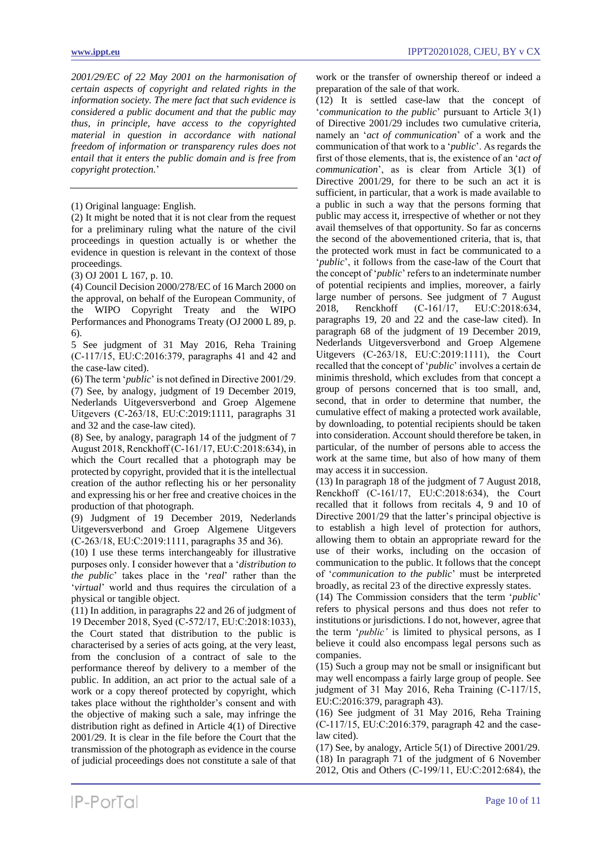*2001/29/EC of 22 May 2001 on the harmonisation of certain aspects of copyright and related rights in the information society. The mere fact that such evidence is considered a public document and that the public may thus, in principle, have access to the copyrighted material in question in accordance with national freedom of information or transparency rules does not entail that it enters the public domain and is free from copyright protection.*'

(3) OJ 2001 L 167, p. 10.

(4) Council Decision 2000/278/EC of 16 March 2000 on the approval, on behalf of the European Community, of the WIPO Copyright Treaty and the WIPO Performances and Phonograms Treaty (OJ 2000 L 89, p. 6).

5 See judgment of 31 May 2016, Reha Training (C‑117/15, EU:C:2016:379, paragraphs 41 and 42 and the case-law cited).

(6) The term '*public*' is not defined in Directive 2001/29. (7) See, by analogy, judgment of 19 December 2019, Nederlands Uitgeversverbond and Groep Algemene Uitgevers (C‑263/18, EU:C:2019:1111, paragraphs 31 and 32 and the case-law cited).

(8) See, by analogy, paragraph 14 of the judgment of 7 August 2018, Renckhoff (C‑161/17, EU:C:2018:634), in which the Court recalled that a photograph may be protected by copyright, provided that it is the intellectual creation of the author reflecting his or her personality and expressing his or her free and creative choices in the production of that photograph.

(9) Judgment of 19 December 2019, Nederlands Uitgeversverbond and Groep Algemene Uitgevers (C‑263/18, EU:C:2019:1111, paragraphs 35 and 36).

(10) I use these terms interchangeably for illustrative purposes only. I consider however that a '*distribution to the public*' takes place in the '*real*' rather than the '*virtual*' world and thus requires the circulation of a physical or tangible object.

(11) In addition, in paragraphs 22 and 26 of judgment of 19 December 2018, Syed (C‑572/17, EU:C:2018:1033), the Court stated that distribution to the public is characterised by a series of acts going, at the very least, from the conclusion of a contract of sale to the performance thereof by delivery to a member of the public. In addition, an act prior to the actual sale of a work or a copy thereof protected by copyright, which takes place without the rightholder's consent and with the objective of making such a sale, may infringe the distribution right as defined in Article 4(1) of Directive 2001/29. It is clear in the file before the Court that the transmission of the photograph as evidence in the course of judicial proceedings does not constitute a sale of that work or the transfer of ownership thereof or indeed a preparation of the sale of that work.

(12) It is settled case-law that the concept of '*communication to the public*' pursuant to Article 3(1) of Directive 2001/29 includes two cumulative criteria, namely an '*act of communication*' of a work and the communication of that work to a '*public*'. As regards the first of those elements, that is, the existence of an '*act of communication*', as is clear from Article 3(1) of Directive 2001/29, for there to be such an act it is sufficient, in particular, that a work is made available to a public in such a way that the persons forming that public may access it, irrespective of whether or not they avail themselves of that opportunity. So far as concerns the second of the abovementioned criteria, that is, that the protected work must in fact be communicated to a '*public*', it follows from the case-law of the Court that the concept of '*public*' refers to an indeterminate number of potential recipients and implies, moreover, a fairly large number of persons. See judgment of 7 August 2018, Renckhoff (C‑161/17, EU:C:2018:634, paragraphs 19, 20 and 22 and the case-law cited). In paragraph 68 of the judgment of 19 December 2019, Nederlands Uitgeversverbond and Groep Algemene Uitgevers (C‑263/18, EU:C:2019:1111), the Court recalled that the concept of '*public*' involves a certain de minimis threshold, which excludes from that concept a group of persons concerned that is too small, and, second, that in order to determine that number, the cumulative effect of making a protected work available, by downloading, to potential recipients should be taken into consideration. Account should therefore be taken, in particular, of the number of persons able to access the work at the same time, but also of how many of them may access it in succession.

(13) In paragraph 18 of the judgment of 7 August 2018, Renckhoff (C‑161/17, EU:C:2018:634), the Court recalled that it follows from recitals 4, 9 and 10 of Directive 2001/29 that the latter's principal objective is to establish a high level of protection for authors, allowing them to obtain an appropriate reward for the use of their works, including on the occasion of communication to the public. It follows that the concept of '*communication to the public*' must be interpreted broadly, as recital 23 of the directive expressly states.

(14) The Commission considers that the term '*public*' refers to physical persons and thus does not refer to institutions or jurisdictions. I do not, however, agree that the term '*public'* is limited to physical persons, as I believe it could also encompass legal persons such as companies.

(15) Such a group may not be small or insignificant but may well encompass a fairly large group of people. See judgment of 31 May 2016, Reha Training (C-117/15, EU:C:2016:379, paragraph 43).

(16) See judgment of 31 May 2016, Reha Training  $(C-117/15, EU:C:2016:379, paragraph 42 and the case$ law cited).

(17) See, by analogy, Article 5(1) of Directive 2001/29. (18) In paragraph 71 of the judgment of 6 November 2012, Otis and Others (C‑199/11, EU:C:2012:684), the

<sup>(1)</sup> Original language: English.

<sup>(2)</sup> It might be noted that it is not clear from the request for a preliminary ruling what the nature of the civil proceedings in question actually is or whether the evidence in question is relevant in the context of those proceedings.